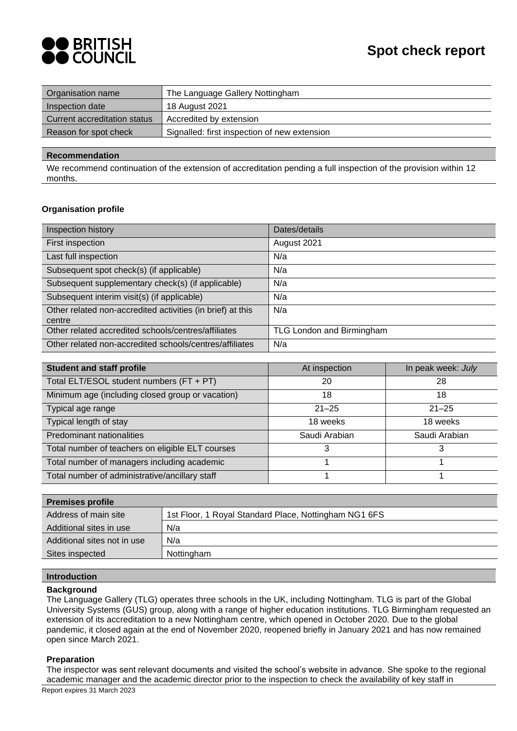

| Organisation name            | The Language Gallery Nottingham              |
|------------------------------|----------------------------------------------|
| Inspection date              | 18 August 2021                               |
| Current accreditation status | Accredited by extension                      |
| Reason for spot check        | Signalled: first inspection of new extension |
|                              |                                              |

## **Recommendation**

We recommend continuation of the extension of accreditation pending a full inspection of the provision within 12 months.

## **Organisation profile**

| Inspection history                                                   | Dates/details             |
|----------------------------------------------------------------------|---------------------------|
| First inspection                                                     | August 2021               |
| Last full inspection                                                 | N/a                       |
| Subsequent spot check(s) (if applicable)                             | N/a                       |
| Subsequent supplementary check(s) (if applicable)                    | N/a                       |
| Subsequent interim visit(s) (if applicable)                          | N/a                       |
| Other related non-accredited activities (in brief) at this<br>centre | N/a                       |
| Other related accredited schools/centres/affiliates                  | TLG London and Birmingham |
| Other related non-accredited schools/centres/affiliates              | N/a                       |

| <b>Student and staff profile</b>                 | At inspection | In peak week: July |
|--------------------------------------------------|---------------|--------------------|
| Total ELT/ESOL student numbers (FT + PT)         | 20            | 28                 |
| Minimum age (including closed group or vacation) | 18            | 18                 |
| Typical age range                                | $21 - 25$     | $21 - 25$          |
| Typical length of stay                           | 18 weeks      | 18 weeks           |
| Predominant nationalities                        | Saudi Arabian | Saudi Arabian      |
| Total number of teachers on eligible ELT courses |               | 3                  |
| Total number of managers including academic      |               |                    |
| Total number of administrative/ancillary staff   |               |                    |

| <b>Premises profile</b>     |                                                       |
|-----------------------------|-------------------------------------------------------|
| Address of main site        | 1st Floor, 1 Royal Standard Place, Nottingham NG1 6FS |
| Additional sites in use     | N/a                                                   |
| Additional sites not in use | N/a                                                   |
| Sites inspected             | Nottingham                                            |
|                             |                                                       |

## **Introduction**

### **Background**

The Language Gallery (TLG) operates three schools in the UK, including Nottingham. TLG is part of the Global University Systems (GUS) group, along with a range of higher education institutions. TLG Birmingham requested an extension of its accreditation to a new Nottingham centre, which opened in October 2020. Due to the global pandemic, it closed again at the end of November 2020, reopened briefly in January 2021 and has now remained open since March 2021.

## **Preparation**

Report expires 31 March 2023 The inspector was sent relevant documents and visited the school's website in advance. She spoke to the regional academic manager and the academic director prior to the inspection to check the availability of key staff in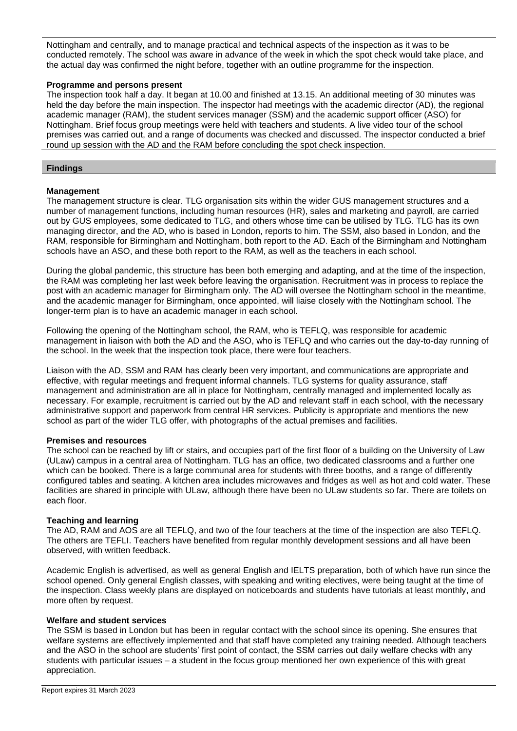Nottingham and centrally, and to manage practical and technical aspects of the inspection as it was to be conducted remotely. The school was aware in advance of the week in which the spot check would take place, and the actual day was confirmed the night before, together with an outline programme for the inspection.

## **Programme and persons present**

The inspection took half a day. It began at 10.00 and finished at 13.15. An additional meeting of 30 minutes was held the day before the main inspection. The inspector had meetings with the academic director (AD), the regional academic manager (RAM), the student services manager (SSM) and the academic support officer (ASO) for Nottingham. Brief focus group meetings were held with teachers and students. A live video tour of the school premises was carried out, and a range of documents was checked and discussed. The inspector conducted a brief round up session with the AD and the RAM before concluding the spot check inspection.

### **Findings**

## **Management**

The management structure is clear. TLG organisation sits within the wider GUS management structures and a number of management functions, including human resources (HR), sales and marketing and payroll, are carried out by GUS employees, some dedicated to TLG, and others whose time can be utilised by TLG. TLG has its own managing director, and the AD, who is based in London, reports to him. The SSM, also based in London, and the RAM, responsible for Birmingham and Nottingham, both report to the AD. Each of the Birmingham and Nottingham schools have an ASO, and these both report to the RAM, as well as the teachers in each school.

During the global pandemic, this structure has been both emerging and adapting, and at the time of the inspection, the RAM was completing her last week before leaving the organisation. Recruitment was in process to replace the post with an academic manager for Birmingham only. The AD will oversee the Nottingham school in the meantime, and the academic manager for Birmingham, once appointed, will liaise closely with the Nottingham school. The longer-term plan is to have an academic manager in each school.

Following the opening of the Nottingham school, the RAM, who is TEFLQ, was responsible for academic management in liaison with both the AD and the ASO, who is TEFLQ and who carries out the day-to-day running of the school. In the week that the inspection took place, there were four teachers.

Liaison with the AD, SSM and RAM has clearly been very important, and communications are appropriate and effective, with regular meetings and frequent informal channels. TLG systems for quality assurance, staff management and administration are all in place for Nottingham, centrally managed and implemented locally as necessary. For example, recruitment is carried out by the AD and relevant staff in each school, with the necessary administrative support and paperwork from central HR services. Publicity is appropriate and mentions the new school as part of the wider TLG offer, with photographs of the actual premises and facilities.

### **Premises and resources**

The school can be reached by lift or stairs, and occupies part of the first floor of a building on the University of Law (ULaw) campus in a central area of Nottingham. TLG has an office, two dedicated classrooms and a further one which can be booked. There is a large communal area for students with three booths, and a range of differently configured tables and seating. A kitchen area includes microwaves and fridges as well as hot and cold water. These facilities are shared in principle with ULaw, although there have been no ULaw students so far. There are toilets on each floor.

## **Teaching and learning**

The AD, RAM and AOS are all TEFLQ, and two of the four teachers at the time of the inspection are also TEFLQ. The others are TEFLI. Teachers have benefited from regular monthly development sessions and all have been observed, with written feedback.

Academic English is advertised, as well as general English and IELTS preparation, both of which have run since the school opened. Only general English classes, with speaking and writing electives, were being taught at the time of the inspection. Class weekly plans are displayed on noticeboards and students have tutorials at least monthly, and more often by request.

### **Welfare and student services**

The SSM is based in London but has been in regular contact with the school since its opening. She ensures that welfare systems are effectively implemented and that staff have completed any training needed. Although teachers and the ASO in the school are students' first point of contact, the SSM carries out daily welfare checks with any students with particular issues – a student in the focus group mentioned her own experience of this with great appreciation.